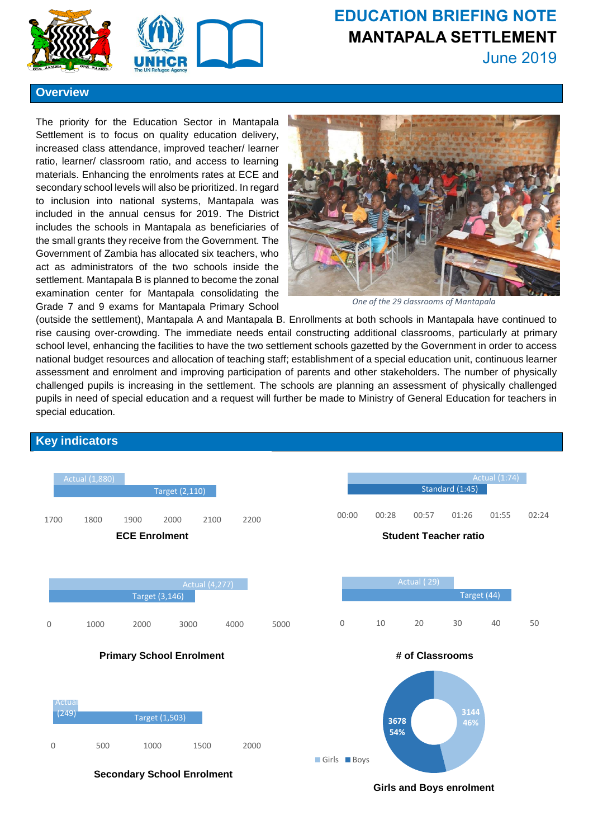



# **EDUCATION BRIEFING NOTE MANTAPALA SETTLEMENT**

June 2019

#### **Overview**

The priority for the Education Sector in Mantapala Settlement is to focus on quality education delivery, increased class attendance, improved teacher/ learner ratio, learner/ classroom ratio, and access to learning materials. Enhancing the enrolments rates at ECE and secondary school levels will also be prioritized. In regard to inclusion into national systems, Mantapala was included in the annual census for 2019. The District includes the schools in Mantapala as beneficiaries of the small grants they receive from the Government. The Government of Zambia has allocated six teachers, who act as administrators of the two schools inside the settlement. Mantapala B is planned to become the zonal examination center for Mantapala consolidating the Grade 7 and 9 exams for Mantapala Primary School



*One of the 29 classrooms of Mantapala*

(outside the settlement), Mantapala A and Mantapala B. Enrollments at both schools in Mantapala have continued to rise causing over-crowding. The immediate needs entail constructing additional classrooms, particularly at primary school level, enhancing the facilities to have the two settlement schools gazetted by the Government in order to access national budget resources and allocation of teaching staff; establishment of a special education unit, continuous learner assessment and enrolment and improving participation of parents and other stakeholders. The number of physically challenged pupils is increasing in the settlement. The schools are planning an assessment of physically challenged pupils in need of special education and a request will further be made to Ministry of General Education for teachers in special education.